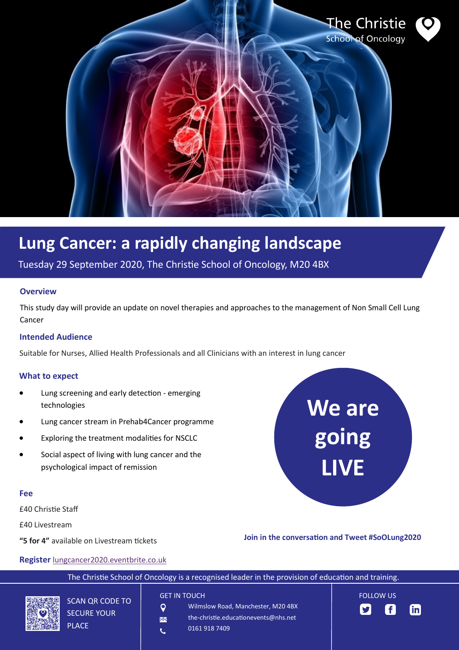

# **Lung Cancer: a rapidly changing landscape**

Tuesday 29 September 2020, The Christie School of Oncology, M20 4BX

#### **Overview**

This study day will provide an update on novel therapies and approaches to the management of Non Small Cell Lung Cancer

### **Intended Audience**

Suitable for Nurses, Allied Health Professionals and all Clinicians with an interest in lung cancer

#### **What to expect**

- Lung screening and early detection emerging technologies
- Lung cancer stream in Prehab4Cancer programme
- Exploring the treatment modalities for NSCLC
- Social aspect of living with lung cancer and the psychological impact of remission

#### **Fee**

£40 Christie Staff

£40 Livestream

**"5 for 4"** available on Livestream tickets

PLACE

#### **Register** [lungcancer2020.eventbrite.co.uk](http://www.lungcancer2020.eventbrite.co.uk)



## **Join in the conversation and Tweet #SoOLung2020**

The Christie School of Oncology is a recognised leader in the provision of education and training. **GET IN TOUCH** FOLLOW US SCAN QR CODE TO Wilmslow Road, Manchester, M20 4BX  $\overline{Q}$ f  $\mathsf{lin}$ v SECURE YOUR the-christie.educationevents@nhs.net  $\overline{\mathbf{M}}$ 

0161 918 7409